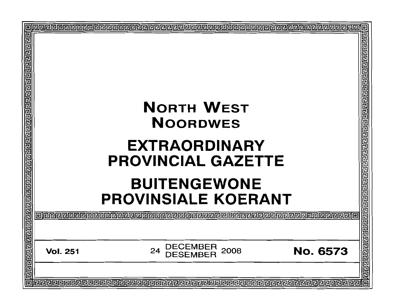| <u> गैलबाग्वाग्वाग्वाग्वाग्वान्नागणगगगगगगगगगगगगगगणगणगणगणगणग</u> |                 | <b>NORTH WEST</b><br><b>NOORDWES</b><br><b>EXTRAORDINARY</b><br><b>PROVINCIAL GAZETTE</b><br><b>BUITENGEWONE</b><br><b>PROVINSIALE KOERANT</b> | 림        | 리리리리리<br>匸                         |
|-----------------------------------------------------------------|-----------------|------------------------------------------------------------------------------------------------------------------------------------------------|----------|------------------------------------|
|                                                                 | aleeeeeeeeeeeee |                                                                                                                                                |          |                                    |
|                                                                 | <b>Vol. 251</b> | DECEMBER<br>2008<br>24                                                                                                                         | No. 6573 | <u>प्रागमान नगरानगराज्ञान ज्ञा</u> |
|                                                                 |                 |                                                                                                                                                |          | 同                                  |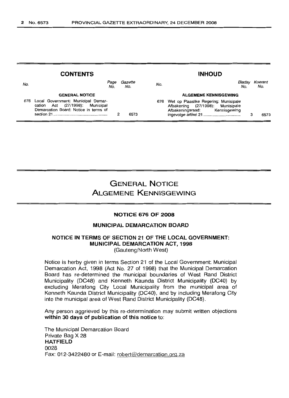| <b>CONTENTS</b>       |                                                                                                                |                |     | <b>INHOUD</b>                                                                                              |  |                |  |  |
|-----------------------|----------------------------------------------------------------------------------------------------------------|----------------|-----|------------------------------------------------------------------------------------------------------------|--|----------------|--|--|
| No.                   | Page<br>No.                                                                                                    | Gazette<br>No. | No. | Bladsy<br>No.                                                                                              |  | Koerant<br>No. |  |  |
| <b>GENERAL NOTICE</b> |                                                                                                                |                |     | <b>ALGEMENE KENNISGEWING</b>                                                                               |  |                |  |  |
| 676                   | Local Government: Municipal Demar-<br>cation Act (27/1998): Municipal<br>Demarcation Board: Notice in terms of | 6573           | 676 | Wet op Plaaslike Regering: Munisipale<br>Afbakening (27/1998): Munisipale<br>Afbakeningsraad: Kennisgewing |  | 6573           |  |  |

# GENERAL NOTICE ALGEMENE KENNISGEWING

#### NOTICE 676 OF 2008

### MUNICIPAL DEMARCATION BOARD

### NOTICE IN TERMS OF SECTION 21 OF THE LOCAL GOVERNMENT: MUNICIPAL DEMARCATION ACT, 1998 (Gauteng/North West)

Notice is herby given in terms Section 21 of the Local Government: Municipal Demarcation Act, 1998 (Act No. 27 of 1998) that the Municipal Demarcation Board has re-determined the municipal boundaries of West Rand District Municipality (DC48) and Kenneth Kaunda District Municipality (DC40) by excluding Merafong City Local Municipality from the municipal area of Kenneth Kaunda District Municipality (DC40), and by including Merafong City into the municipal area of West Rand District Municipality (DC48).

Any person aggrieved by this re-determination may submit written objections within 30 days of publication of this notice to:

The Municipal Demarcation Board Private Bag X 28 HATFIELD 0028 Fax: 012-3422480 or E-mail: robert@demarcation.org.za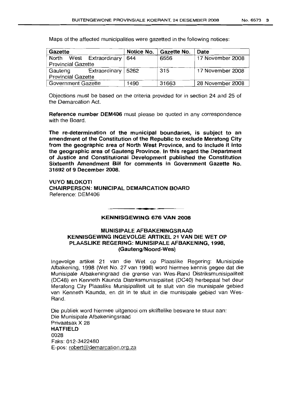Maps of the affected municipalities were gazetted in the following notices:

| Gazette                   |                                 |                    | Notice No. | Gazette No. | Date             |  |  |
|---------------------------|---------------------------------|--------------------|------------|-------------|------------------|--|--|
| North                     |                                 | West Extraordinary | 644        | 6556        | 17 November 2008 |  |  |
| <b>Provincial Gazette</b> |                                 |                    |            |             |                  |  |  |
|                           | Extraordinary   5262<br>Gauteng |                    |            | 315         | 17 November 2008 |  |  |
| <b>Provincial Gazette</b> |                                 |                    |            |             |                  |  |  |
| Government Gazette        |                                 |                    | 1490       | 31663       | 28 November 2008 |  |  |

Objections must be based on the criteria provided for in section 24 and 25 of the Demarcation Act.

Reference number DEM406 must please be quoted in any correspondence with the Board.

The re-determination of the municipal boundaries, is subject to an amendment of the Constitution of the Republic to exclude Merafong City from the geographic area of North West Province, and to include it into the geographic area of Gauteng Province. In this regard the Department of Justice and Constitutional Development published the Constitution Sixteenth Amendment Bill for comments in Government Gazette No. 31692: of 9 December 2008.

VUYO MLOKOTI CHAIRPERSON: MUNICIPAL DEMARCATION BOARD Reference: DEM406

# • **- I** KENNISGEWING 676 VAN 2008

# MUNISIPALE AFBAKENINGSRAAD KENNISGEWING INGEVOLGE ARTIKEL 21 VAN DIE WET OP PLAASLIKE REGERING: MUNISIPALE AFBAKENING, 1998, (Gauteng/Noord-Wes)

Ingevolge artikel 21 van die Wet op Plaaslike Regering: Munisipale Afbakening, 1998 ('Net No. 27 van 1998) word hiermee kennis gegee dat die Munisipale Afbakeningraad die grense van Wes-Rand Distriksmunisipaliteit (DC48) en Kenneth Kaunda Distriksmunisipaliteit (DC40) herbepaal het deur Merafong City Plaaslike Munisipaliteit uit te sluit van die munisipale gebied van Kenneth Kaunda, en dit in te sluit in die munisipale gebied van Wes-Rand.

Die publiek word hiermee uitgenooi om skriftelike besware te stuur aan: Die Munisipale Afbakeningsraad Privaatsak X 28 HATFIELD 0028 Faks:012-3422480  $E$ -pos: robert@demarcation.org.za